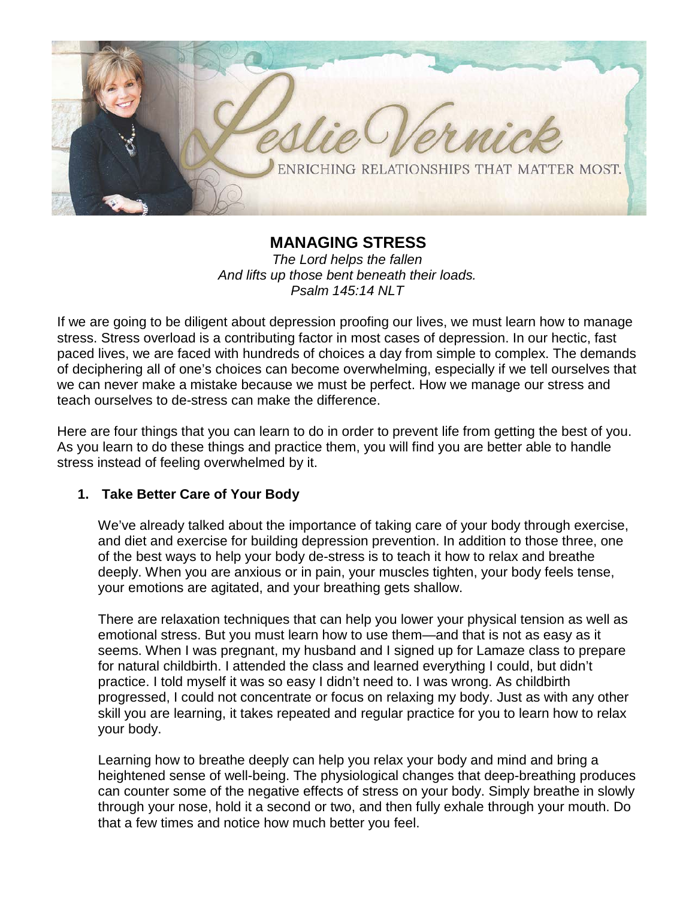

**MANAGING STRESS** *The Lord helps the fallen And lifts up those bent beneath their loads. Psalm 145:14 NLT*

If we are going to be diligent about depression proofing our lives, we must learn how to manage stress. Stress overload is a contributing factor in most cases of depression. In our hectic, fast paced lives, we are faced with hundreds of choices a day from simple to complex. The demands of deciphering all of one's choices can become overwhelming, especially if we tell ourselves that we can never make a mistake because we must be perfect. How we manage our stress and teach ourselves to de-stress can make the difference.

Here are four things that you can learn to do in order to prevent life from getting the best of you. As you learn to do these things and practice them, you will find you are better able to handle stress instead of feeling overwhelmed by it.

## **1. Take Better Care of Your Body**

We've already talked about the importance of taking care of your body through exercise, and diet and exercise for building depression prevention. In addition to those three, one of the best ways to help your body de-stress is to teach it how to relax and breathe deeply. When you are anxious or in pain, your muscles tighten, your body feels tense, your emotions are agitated, and your breathing gets shallow.

There are relaxation techniques that can help you lower your physical tension as well as emotional stress. But you must learn how to use them—and that is not as easy as it seems. When I was pregnant, my husband and I signed up for Lamaze class to prepare for natural childbirth. I attended the class and learned everything I could, but didn't practice. I told myself it was so easy I didn't need to. I was wrong. As childbirth progressed, I could not concentrate or focus on relaxing my body. Just as with any other skill you are learning, it takes repeated and regular practice for you to learn how to relax your body.

Learning how to breathe deeply can help you relax your body and mind and bring a heightened sense of well-being. The physiological changes that deep-breathing produces can counter some of the negative effects of stress on your body. Simply breathe in slowly through your nose, hold it a second or two, and then fully exhale through your mouth. Do that a few times and notice how much better you feel.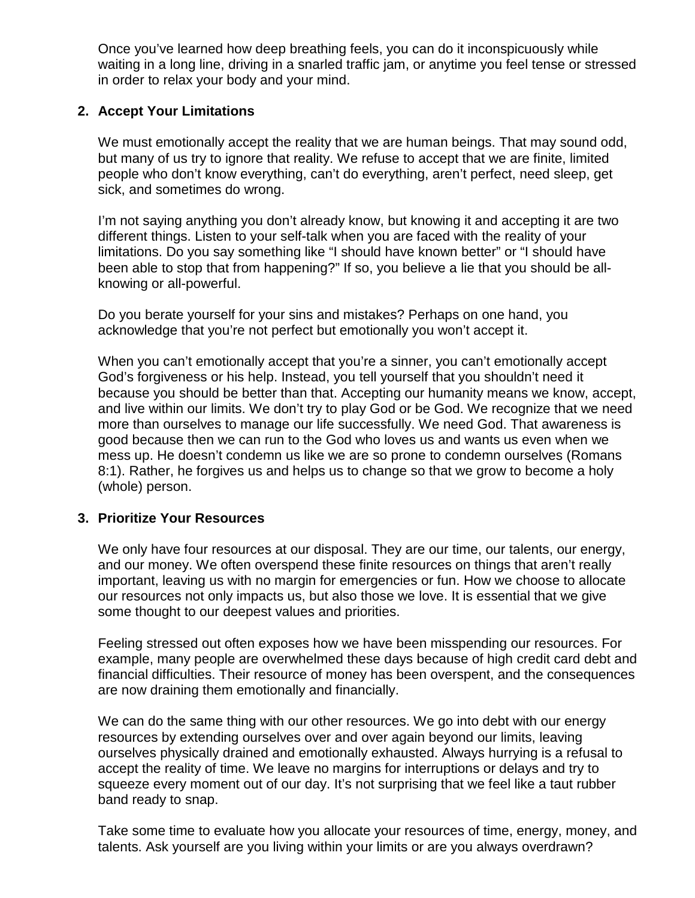Once you've learned how deep breathing feels, you can do it inconspicuously while waiting in a long line, driving in a snarled traffic jam, or anytime you feel tense or stressed in order to relax your body and your mind.

# **2. Accept Your Limitations**

We must emotionally accept the reality that we are human beings. That may sound odd, but many of us try to ignore that reality. We refuse to accept that we are finite, limited people who don't know everything, can't do everything, aren't perfect, need sleep, get sick, and sometimes do wrong.

I'm not saying anything you don't already know, but knowing it and accepting it are two different things. Listen to your self-talk when you are faced with the reality of your limitations. Do you say something like "I should have known better" or "I should have been able to stop that from happening?" If so, you believe a lie that you should be allknowing or all-powerful.

Do you berate yourself for your sins and mistakes? Perhaps on one hand, you acknowledge that you're not perfect but emotionally you won't accept it.

When you can't emotionally accept that you're a sinner, you can't emotionally accept God's forgiveness or his help. Instead, you tell yourself that you shouldn't need it because you should be better than that. Accepting our humanity means we know, accept, and live within our limits. We don't try to play God or be God. We recognize that we need more than ourselves to manage our life successfully. We need God. That awareness is good because then we can run to the God who loves us and wants us even when we mess up. He doesn't condemn us like we are so prone to condemn ourselves (Romans 8:1). Rather, he forgives us and helps us to change so that we grow to become a holy (whole) person.

## **3. Prioritize Your Resources**

We only have four resources at our disposal. They are our time, our talents, our energy, and our money. We often overspend these finite resources on things that aren't really important, leaving us with no margin for emergencies or fun. How we choose to allocate our resources not only impacts us, but also those we love. It is essential that we give some thought to our deepest values and priorities.

Feeling stressed out often exposes how we have been misspending our resources. For example, many people are overwhelmed these days because of high credit card debt and financial difficulties. Their resource of money has been overspent, and the consequences are now draining them emotionally and financially.

We can do the same thing with our other resources. We go into debt with our energy resources by extending ourselves over and over again beyond our limits, leaving ourselves physically drained and emotionally exhausted. Always hurrying is a refusal to accept the reality of time. We leave no margins for interruptions or delays and try to squeeze every moment out of our day. It's not surprising that we feel like a taut rubber band ready to snap.

Take some time to evaluate how you allocate your resources of time, energy, money, and talents. Ask yourself are you living within your limits or are you always overdrawn?